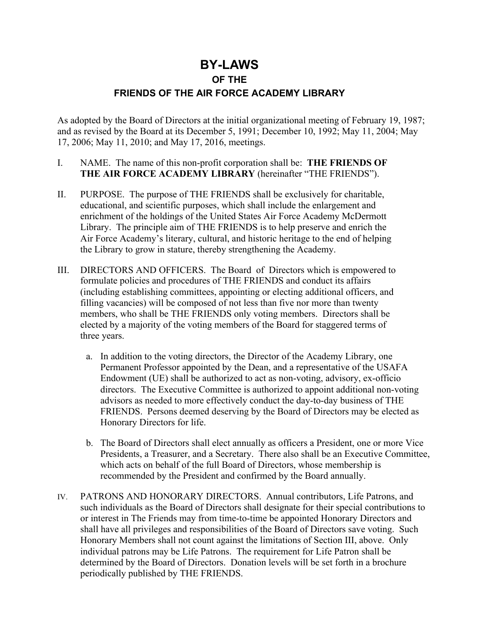# **BY-LAWS**

#### **OF THE**

## **FRIENDS OF THE AIR FORCE ACADEMY LIBRARY**

As adopted by the Board of Directors at the initial organizational meeting of February 19, 1987; and as revised by the Board at its December 5, 1991; December 10, 1992; May 11, 2004; May 17, 2006; May 11, 2010; and May 17, 2016, meetings.

- I. NAME. The name of this non-profit corporation shall be: **THE FRIENDS OF THE AIR FORCE ACADEMY LIBRARY** (hereinafter "THE FRIENDS").
- II. PURPOSE. The purpose of THE FRIENDS shall be exclusively for charitable, educational, and scientific purposes, which shall include the enlargement and enrichment of the holdings of the United States Air Force Academy McDermott Library. The principle aim of THE FRIENDS is to help preserve and enrich the Air Force Academy's literary, cultural, and historic heritage to the end of helping the Library to grow in stature, thereby strengthening the Academy.
- III. DIRECTORS AND OFFICERS. The Board of Directors which is empowered to formulate policies and procedures of THE FRIENDS and conduct its affairs (including establishing committees, appointing or electing additional officers, and filling vacancies) will be composed of not less than five nor more than twenty members, who shall be THE FRIENDS only voting members. Directors shall be elected by a majority of the voting members of the Board for staggered terms of three years.
	- a. In addition to the voting directors, the Director of the Academy Library, one Permanent Professor appointed by the Dean, and a representative of the USAFA Endowment (UE) shall be authorized to act as non-voting, advisory, ex-officio directors. The Executive Committee is authorized to appoint additional non-voting advisors as needed to more effectively conduct the day-to-day business of THE FRIENDS. Persons deemed deserving by the Board of Directors may be elected as Honorary Directors for life.
	- b. The Board of Directors shall elect annually as officers a President, one or more Vice Presidents, a Treasurer, and a Secretary. There also shall be an Executive Committee, which acts on behalf of the full Board of Directors, whose membership is recommended by the President and confirmed by the Board annually.
- IV. PATRONS AND HONORARY DIRECTORS. Annual contributors, Life Patrons, and such individuals as the Board of Directors shall designate for their special contributions to or interest in The Friends may from time-to-time be appointed Honorary Directors and shall have all privileges and responsibilities of the Board of Directors save voting. Such Honorary Members shall not count against the limitations of Section III, above. Only individual patrons may be Life Patrons. The requirement for Life Patron shall be determined by the Board of Directors. Donation levels will be set forth in a brochure periodically published by THE FRIENDS.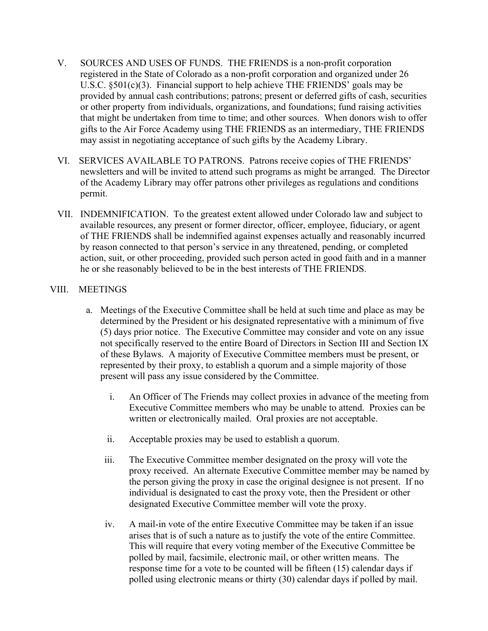- V. SOURCES AND USES OF FUNDS. THE FRIENDS is a non-profit corporation registered in the State of Colorado as a non-profit corporation and organized under 26 U.S.C. §501(c)(3). Financial support to help achieve THE FRIENDS' goals may be provided by annual cash contributions; patrons; present or deferred gifts of cash, securities or other property from individuals, organizations, and foundations; fund raising activities that might be undertaken from time to time; and other sources. When donors wish to offer gifts to the Air Force Academy using THE FRIENDS as an intermediary, THE FRIENDS may assist in negotiating acceptance of such gifts by the Academy Library.
- VI. SERVICES AVAILABLE TO PATRONS. Patrons receive copies of THE FRIENDS' newsletters and will be invited to attend such programs as might be arranged. The Director of the Academy Library may offer patrons other privileges as regulations and conditions permit.
- VII. INDEMNIFICATION. To the greatest extent allowed under Colorado law and subject to available resources, any present or former director, officer, employee, fiduciary, or agent of THE FRIENDS shall be indemnified against expenses actually and reasonably incurred by reason connected to that person's service in any threatened, pending, or completed action, suit, or other proceeding, provided such person acted in good faith and in a manner he or she reasonably believed to be in the best interests of THE FRIENDS.

## VIII. MEETINGS

- a. Meetings of the Executive Committee shall be held at such time and place as may be determined by the President or his designated representative with a minimum of five (5) days prior notice. The Executive Committee may consider and vote on any issue not specifically reserved to the entire Board of Directors in Section III and Section IX of these Bylaws. A majority of Executive Committee members must be present, or represented by their proxy, to establish a quorum and a simple majority of those present will pass any issue considered by the Committee.
	- i. An Officer of The Friends may collect proxies in advance of the meeting from Executive Committee members who may be unable to attend. Proxies can be written or electronically mailed. Oral proxies are not acceptable.
	- ii. Acceptable proxies may be used to establish a quorum.
	- iii. The Executive Committee member designated on the proxy will vote the proxy received. An alternate Executive Committee member may be named by the person giving the proxy in case the original designee is not present. If no individual is designated to cast the proxy vote, then the President or other designated Executive Committee member will vote the proxy.
	- iv. A mail-in vote of the entire Executive Committee may be taken if an issue arises that is of such a nature as to justify the vote of the entire Committee. This will require that every voting member of the Executive Committee be polled by mail, facsimile, electronic mail, or other written means. The response time for a vote to be counted will be fifteen (15) calendar days if polled using electronic means or thirty (30) calendar days if polled by mail.